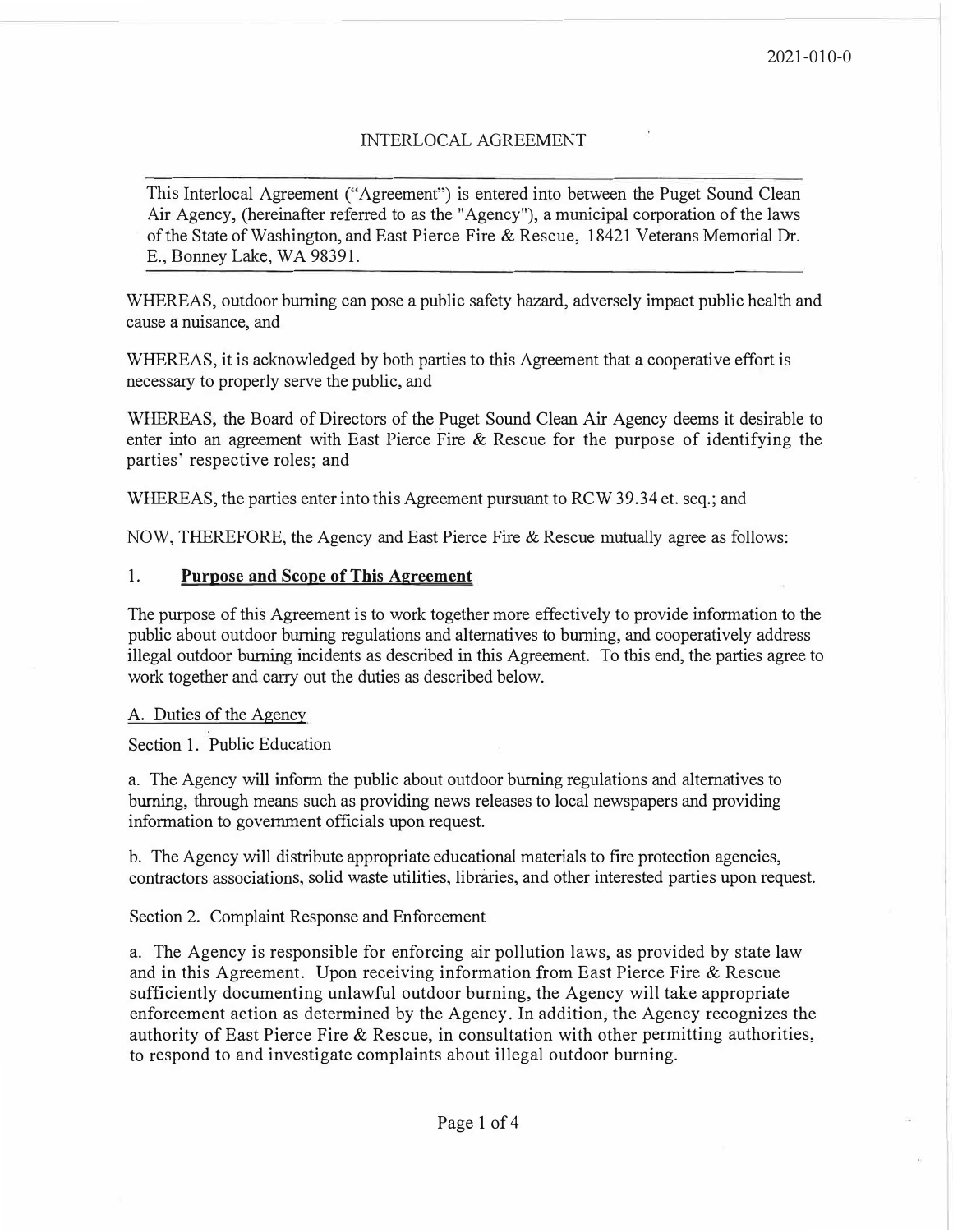## INTERLOCAL AGREEMENT

This Interlocal Agreement ("Agreement") is entered into between the Puget Sound Clean Air Agency, (hereinafter referred to as the "Agency"), a municipal corporation of the laws of the State of Washington, and East Pierce Fire & Rescue, 18421 Veterans Memorial Dr. E., Bonney Lake, WA 98391.

WHEREAS, outdoor burning can pose a public safety hazard, adversely impact public health and cause a nuisance, and

WHEREAS, it is acknowledged by both parties to this Agreement that a cooperative effort is necessary to properly serve the public, and

WHEREAS, the Board of Directors of the Puget Sound Clean Air Agency deems it desirable to enter into an agreement with East Pierce Fire  $\&$  Rescue for the purpose of identifying the parties' respective roles; and

WHEREAS, the parties enter into this Agreement pursuant to RCW 39.34 et. seq.; and

NOW, THEREFORE, the Agency and East Pierce Fire & Rescue mutually agree as follows:

## **1. Purpose and Scope of This Agreement**

The purpose of this Agreement is to work together more effectively to provide information to the public about outdoor burning regulations and alternatives to burning, and cooperatively address illegal outdoor burning incidents as described in this Agreement. To this end, the parties agree to work together and carry out the duties as described below.

## A. Duties of the Agency

Section 1. Public Education

a. The Agency will inform the public about outdoor burning regulations and alternatives to burning, through means such as providing news releases to local newspapers and providing information to government officials upon request.

b. The Agency will distribute appropriate educational materials to fire protection agencies, contractors associations, solid waste utilities, libraries, and other interested parties upon request.

Section 2. Complaint Response and Enforcement

a. The Agency is responsible for enforcing air pollution laws, as provided by state law and in this Agreement. Upon receiving information from East Pierce Fire & Rescue sufficiently documenting unlawful outdoor burning, the Agency will take appropriate enforcement action as determined by the Agency. In addition; the Agency recognizes the authority of East Pierce Fire & Rescue, in consultation with other permitting authorities, to respond to and investigate complaints about illegal outdoor burning.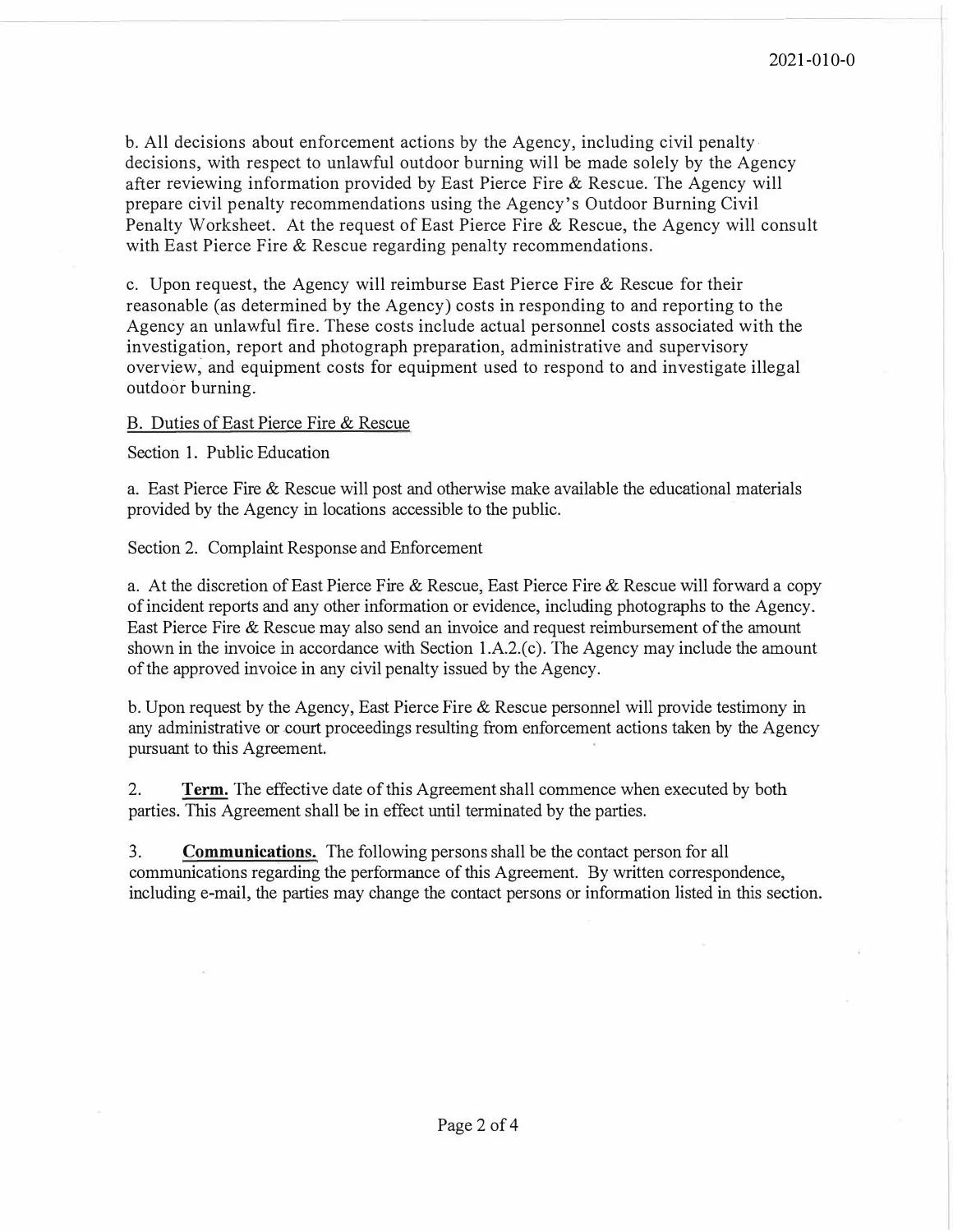b. All decisions about enforcement actions by the Agency, including civil penalty. decisions, with respect to unlawful outdoor burning will be made solely by the Agency after reviewing information provided by East Pierce Fire & Rescue. The Agency will prepare civil penalty recommendations using the Agency's Outdoor Burning Civil Penalty Worksheet. At the request of East Pierce Fire & Rescue, the Agency will consult with East Pierce Fire & Rescue regarding penalty recommendations.

c. Upon request, the Agency will reimburse East Pierce Fire & Rescue for their reasonable (as determined by the Agency) costs in responding to and reporting to the Agency an unlawful fire. These costs include actual personnel costs associated with the investigation, report and photograph preparation, administrative and supervisory overview; and equipment costs for equipment used to respond to and investigate illegal outdoor burning.

## B. Duties of East Pierce Fire & Rescue

Section 1. Public Education

a. East Pierce Fire & Rescue will post and otherwise make available the educational materials provided by the Agency in locations accessible to the public.

Section 2. Complaint Response and Enforcement

a. At the discretion of East Pierce Fire & Rescue, East Pierce Fire & Rescue will forward a copy of incident reports and any other information or evidence, including photographs to the Agency. East Pierce Fire & Rescue may also send an invoice and request reimbursement of the amount shown in the invoice in accordance with Section  $1.A.2(c)$ . The Agency may include the amount of the approved invoice in any civil penalty issued by the Agency.

b. Upon request by the Agency, East Pierce Fire & Rescue personnel will provide testimony in any administrative or court proceedings resulting from enforcement actions taken by the Agency pursuant to this Agreement.

2. **Term.** The effective date of this Agreement shall commence when executed by both parties. This Agreement shall be in effect until terminated by the parties.

3. **Communications.** The following persons shall be the contact person for all communications regarding the performance of this Agreement. By written correspondence, including e-mail, the parties may change the contact persons or information listed in this section.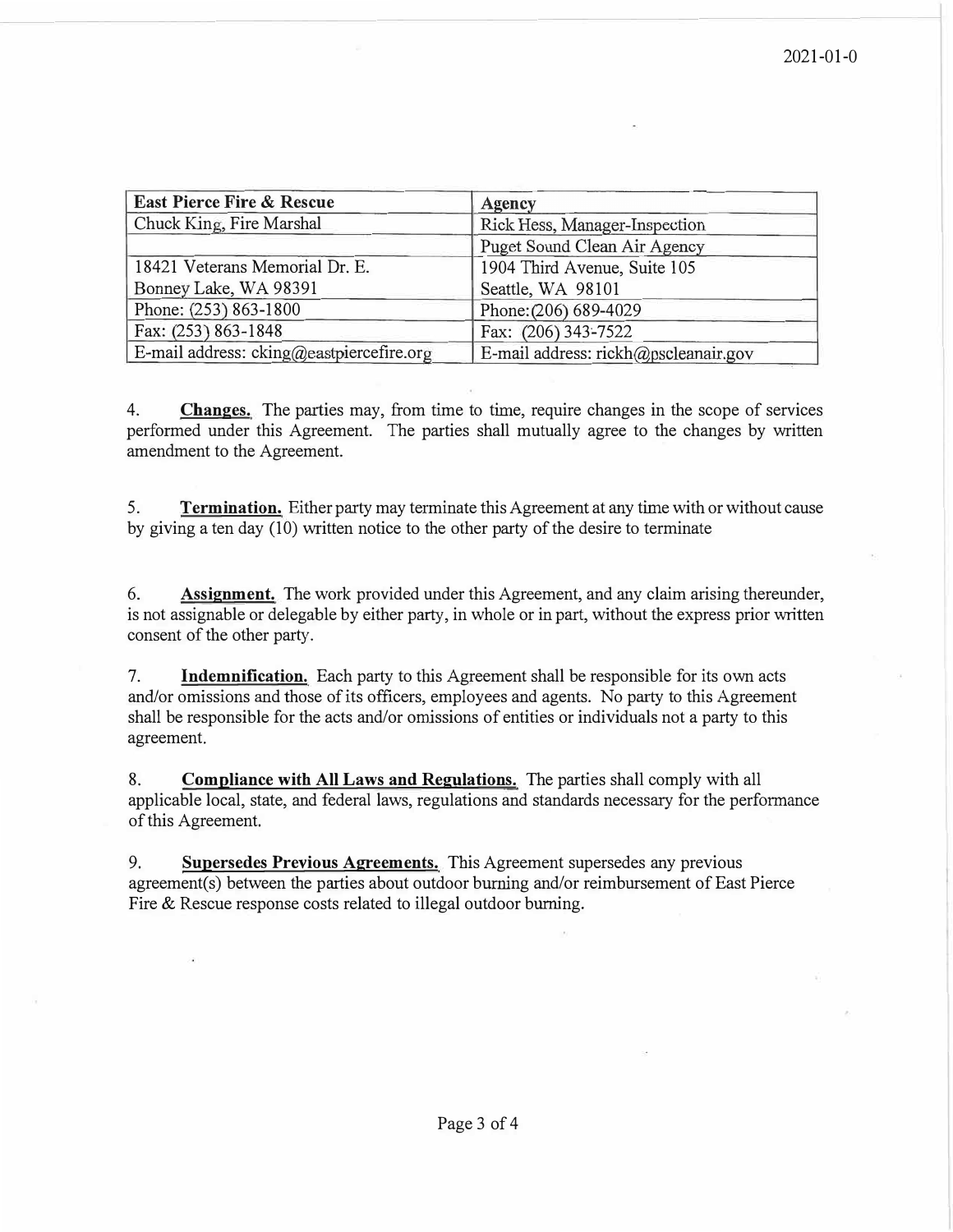| <b>East Pierce Fire &amp; Rescue</b>     | Agency                               |
|------------------------------------------|--------------------------------------|
| Chuck King, Fire Marshal                 | Rick Hess, Manager-Inspection        |
|                                          | Puget Sound Clean Air Agency         |
| 18421 Veterans Memorial Dr. E.           | 1904 Third Avenue, Suite 105         |
| Bonney Lake, WA 98391                    | Seattle, WA 98101                    |
| Phone: (253) 863-1800                    | Phone: (206) 689-4029                |
| Fax: (253) 863-1848                      | Fax: (206) 343-7522                  |
| E-mail address: cking@eastpiercefire.org | E-mail address: rickh@pscleanair.gov |

4. **Changes.** The parties may, from time to time, require changes in the scope of services performed under this Agreement. The parties shall mutually agree to the changes by written amendment to the Agreement.

5. **Termination.** Either party may terminate this Agreement at any time with or without cause by giving a ten day (10) written notice to the other party of the desire to terminate

6. **Assignment.** The work provided under this Agreement, and any claim arising thereunder, is not assignable or delegable by either party, in whole or in part, without the express prior written consent of the other party.

7. **Indemnification.** Each party to this Agreement shall be responsible for its own acts and/or omissions and those of its officers, employees and agents. No party to this Agreement shall be responsible for the acts and/or omissions of entities or individuals not a party to this agreement.

8. **Compliance with All Laws and Regulations.** The parties shall comply with all applicable local, state, and federal laws, regulations and standards necessary for the performance of this Agreement.

9. **Supersedes Previous Agreements.** This Agreement supersedes any previous agreement(s) between the parties about outdoor burning and/or reimbursement of East Pierce Fire & Rescue response costs related to illegal outdoor burning.